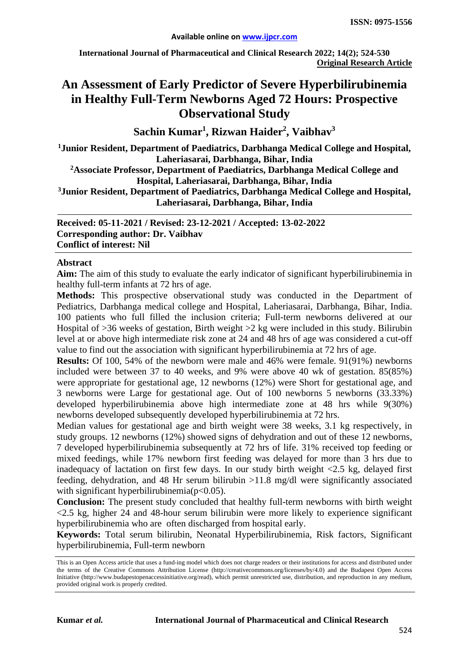**International Journal of Pharmaceutical and Clinical Research 2022; 14(2); 524-530 Original Research Article**

# **An Assessment of Early Predictor of Severe Hyperbilirubinemia in Healthy Full-Term Newborns Aged 72 Hours: Prospective Observational Study**

 $\mathbf{S}$ achin Kumar<sup>1</sup>, Rizwan Haider<sup>2</sup>, Vaibhav $^3$ 

**1 Junior Resident, Department of Paediatrics, Darbhanga Medical College and Hospital, Laheriasarai, Darbhanga, Bihar, India**

**2Associate Professor, Department of Paediatrics, Darbhanga Medical College and Hospital, Laheriasarai, Darbhanga, Bihar, India**

**3Junior Resident, Department of Paediatrics, Darbhanga Medical College and Hospital, Laheriasarai, Darbhanga, Bihar, India**

**Received: 05-11-2021 / Revised: 23-12-2021 / Accepted: 13-02-2022 Corresponding author: Dr. Vaibhav Conflict of interest: Nil**

#### **Abstract**

**Aim:** The aim of this study to evaluate the early indicator of significant hyperbilirubinemia in healthy full-term infants at 72 hrs of age.

**Methods:** This prospective observational study was conducted in the Department of Pediatrics, Darbhanga medical college and Hospital, Laheriasarai, Darbhanga, Bihar, India. 100 patients who full filled the inclusion criteria; Full-term newborns delivered at our Hospital of >36 weeks of gestation, Birth weight >2 kg were included in this study. Bilirubin level at or above high intermediate risk zone at 24 and 48 hrs of age was considered a cut-off value to find out the association with significant hyperbilirubinemia at 72 hrs of age.

**Results:** Of 100, 54% of the newborn were male and 46% were female. 91(91%) newborns included were between 37 to 40 weeks, and 9% were above 40 wk of gestation. 85(85%) were appropriate for gestational age, 12 newborns (12%) were Short for gestational age, and 3 newborns were Large for gestational age. Out of 100 newborns 5 newborns (33.33%) developed hyperbilirubinemia above high intermediate zone at 48 hrs while 9(30%) newborns developed subsequently developed hyperbilirubinemia at 72 hrs.

Median values for gestational age and birth weight were 38 weeks, 3.1 kg respectively, in study groups. 12 newborns (12%) showed signs of dehydration and out of these 12 newborns, 7 developed hyperbilirubinemia subsequently at 72 hrs of life. 31% received top feeding or mixed feedings, while 17% newborn first feeding was delayed for more than 3 hrs due to inadequacy of lactation on first few days. In our study birth weight <2.5 kg, delayed first feeding, dehydration, and 48 Hr serum bilirubin >11.8 mg/dl were significantly associated with significant hyperbilirubinemia( $p<0.05$ ).

**Conclusion:** The present study concluded that healthy full-term newborns with birth weight  $\langle 2.5 \text{ kg}$ , higher 24 and 48-hour serum bilirubin were more likely to experience significant hyperbilirubinemia who are often discharged from hospital early.

**Keywords:** Total serum bilirubin, Neonatal Hyperbilirubinemia, Risk factors, Significant hyperbilirubinemia, Full-term newborn

This is an Open Access article that uses a fund-ing model which does not charge readers or their institutions for access and distributed under the terms of the Creative Commons Attribution License (http://creativecommons.org/licenses/by/4.0) and the Budapest Open Access Initiative (http://www.budapestopenaccessinitiative.org/read), which permit unrestricted use, distribution, and reproduction in any medium, provided original work is properly credited.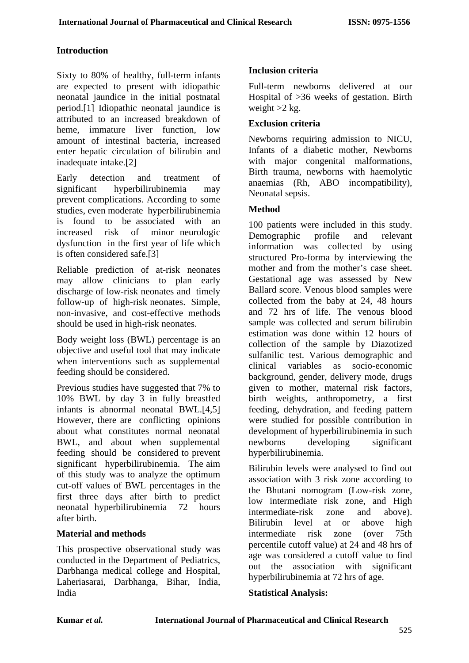# **Introduction**

Sixty to 80% of healthy, full-term infants are expected to present with idiopathic neonatal jaundice in the initial postnatal period.[1] Idiopathic neonatal jaundice is attributed to an increased breakdown of heme, immature liver function, low amount of intestinal bacteria, increased enter hepatic circulation of bilirubin and inadequate intake.[2]

Early detection and treatment of significant hyperbilirubinemia may prevent complications. According to some studies, even moderate hyperbilirubinemia is found to be associated with an increased risk of minor neurologic dysfunction in the first year of life which is often considered safe.[3]

Reliable prediction of at-risk neonates may allow clinicians to plan early discharge of low-risk neonates and timely follow-up of high-risk neonates. Simple, non-invasive, and cost-effective methods should be used in high-risk neonates.

Body weight loss (BWL) percentage is an objective and useful tool that may indicate when interventions such as supplemental feeding should be considered.

Previous studies have suggested that 7% to 10% BWL by day 3 in fully breastfed infants is abnormal neonatal BWL.[4,5] However, there are conflicting opinions about what constitutes normal neonatal BWL, and about when supplemental feeding should be considered to prevent significant hyperbilirubinemia. The aim of this study was to analyze the optimum cut-off values of BWL percentages in the first three days after birth to predict neonatal hyperbilirubinemia 72 hours after birth.

# **Material and methods**

This prospective observational study was conducted in the Department of Pediatrics, Darbhanga medical college and Hospital, Laheriasarai, Darbhanga, Bihar, India, India

# **Inclusion criteria**

Full-term newborns delivered at our Hospital of >36 weeks of gestation. Birth weight  $>2$  kg.

#### **Exclusion criteria**

Newborns requiring admission to NICU, Infants of a diabetic mother, Newborns with major congenital malformations, Birth trauma, newborns with haemolytic anaemias (Rh, ABO incompatibility), Neonatal sepsis.

#### **Method**

100 patients were included in this study. Demographic profile and relevant information was collected by using structured Pro-forma by interviewing the mother and from the mother's case sheet. Gestational age was assessed by New Ballard score. Venous blood samples were collected from the baby at 24, 48 hours and 72 hrs of life. The venous blood sample was collected and serum bilirubin estimation was done within 12 hours of collection of the sample by Diazotized sulfanilic test. Various demographic and clinical variables as socio-economic background, gender, delivery mode, drugs given to mother, maternal risk factors, birth weights, anthropometry, a first feeding, dehydration, and feeding pattern were studied for possible contribution in development of hyperbilirubinemia in such newborns developing significant hyperbilirubinemia.

Bilirubin levels were analysed to find out association with 3 risk zone according to the Bhutani nomogram (Low-risk zone, low intermediate risk zone, and High intermediate-risk zone and above). Bilirubin level at or above high intermediate risk zone (over 75th percentile cutoff value) at 24 and 48 hrs of age was considered a cutoff value to find out the association with significant hyperbilirubinemia at 72 hrs of age.

# **Statistical Analysis:**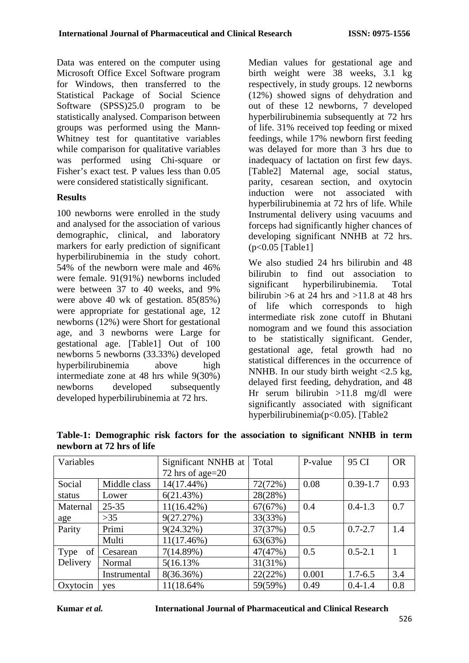Data was entered on the computer using Microsoft Office Excel Software program for Windows, then transferred to the Statistical Package of Social Science Software (SPSS)25.0 program to be statistically analysed. Comparison between groups was performed using the Mann-Whitney test for quantitative variables while comparison for qualitative variables was performed using Chi-square or Fisher's exact test. P values less than 0.05 were considered statistically significant.

# **Results**

100 newborns were enrolled in the study and analysed for the association of various demographic, clinical, and laboratory markers for early prediction of significant hyperbilirubinemia in the study cohort. 54% of the newborn were male and 46% were female. 91(91%) newborns included were between 37 to 40 weeks, and 9% were above 40 wk of gestation. 85(85%) were appropriate for gestational age, 12 newborns (12%) were Short for gestational age, and 3 newborns were Large for gestational age. [Table1] Out of 100 newborns 5 newborns (33.33%) developed hyperbilirubinemia above high intermediate zone at 48 hrs while 9(30%) newborns developed subsequently developed hyperbilirubinemia at 72 hrs.

Median values for gestational age and birth weight were 38 weeks, 3.1 kg respectively, in study groups. 12 newborns (12%) showed signs of dehydration and out of these 12 newborns, 7 developed hyperbilirubinemia subsequently at 72 hrs of life. 31% received top feeding or mixed feedings, while 17% newborn first feeding was delayed for more than 3 hrs due to inadequacy of lactation on first few days. [Table2] Maternal age, social status, parity, cesarean section, and oxytocin induction were not associated with hyperbilirubinemia at 72 hrs of life. While Instrumental delivery using vacuums and forceps had significantly higher chances of developing significant NNHB at 72 hrs. (p<0.05 [Table1]

We also studied 24 hrs bilirubin and 48 bilirubin to find out association to significant hyperbilirubinemia. Total bilirubin  $>6$  at 24 hrs and  $>11.8$  at 48 hrs of life which corresponds to high intermediate risk zone cutoff in Bhutani nomogram and we found this association to be statistically significant. Gender, gestational age, fetal growth had no statistical differences in the occurrence of NNHB. In our study birth weight <2.5 kg, delayed first feeding, dehydration, and 48 Hr serum bilirubin >11.8 mg/dl were significantly associated with significant hyperbilirubinemia(p<0.05). [Table2

| Variables  |              | Significant NNHB at | Total   | P-value | 95 CI        | <b>OR</b> |
|------------|--------------|---------------------|---------|---------|--------------|-----------|
|            |              | 72 hrs of age= $20$ |         |         |              |           |
| Social     | Middle class | 14(17.44%)          | 72(72%) | 0.08    | $0.39 - 1.7$ | 0.93      |
| status     | Lower        | 6(21.43%)           | 28(28%) |         |              |           |
| Maternal   | $25 - 35$    | $11(16.42\%)$       | 67(67%) | 0.4     | $0.4 - 1.3$  | 0.7       |
| age        | $>35$        | 9(27.27%)           | 33(33%) |         |              |           |
| Parity     | Primi        | 9(24.32%)           | 37(37%) | 0.5     | $0.7 - 2.7$  | 1.4       |
|            | Multi        | $11(17.46\%)$       | 63(63%) |         |              |           |
| of<br>Type | Cesarean     | 7(14.89%)           | 47(47%) | 0.5     | $0.5 - 2.1$  |           |
| Delivery   | Normal       | 5(16.13%)           | 31(31%) |         |              |           |
|            | Instrumental | 8(36.36%)           | 22(22%) | 0.001   | $1.7 - 6.5$  | 3.4       |
| Oxytocin   | <b>ves</b>   | 11(18.64%           | 59(59%) | 0.49    | $0.4 - 1.4$  | 0.8       |

**Table-1: Demographic risk factors for the association to significant NNHB in term newborn at 72 hrs of life**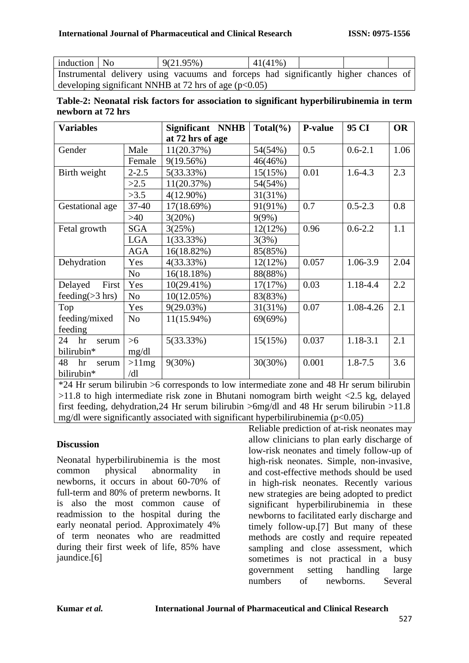| induction   No                                          |  | 9(21.95%)                                                                           |  |  | $41(41\%)$ |  |  |  |
|---------------------------------------------------------|--|-------------------------------------------------------------------------------------|--|--|------------|--|--|--|
|                                                         |  | Instrumental delivery using vacuums and forceps had significantly higher chances of |  |  |            |  |  |  |
| developing significant NNHB at 72 hrs of age $(p<0.05)$ |  |                                                                                     |  |  |            |  |  |  |

|                   |  |  | Table-2: Neonatal risk factors for association to significant hyperbilirubinemia in term |  |
|-------------------|--|--|------------------------------------------------------------------------------------------|--|
| newborn at 72 hrs |  |  |                                                                                          |  |

| <b>Variables</b>   |                | Significant NNHB | $Total(\%)$ | <b>P-value</b> | 95 CI        | <b>OR</b> |
|--------------------|----------------|------------------|-------------|----------------|--------------|-----------|
|                    |                | at 72 hrs of age |             |                |              |           |
| Gender             | Male           | 11(20.37%)       | 54(54%)     | 0.5            | $0.6 - 2.1$  | 1.06      |
|                    | Female         | 9(19.56%)        | 46(46%)     |                |              |           |
| Birth weight       | $2 - 2.5$      | 5(33.33%)        | 15(15%)     | 0.01           | $1.6 - 4.3$  | 2.3       |
|                    | >2.5           | 11(20.37%)       | 54(54%)     |                |              |           |
|                    | >3.5           | $4(12.90\%)$     | 31(31%)     |                |              |           |
| Gestational age    | $37 - 40$      | 17(18.69%)       | 91(91%)     | 0.7            | $0.5 - 2.3$  | 0.8       |
|                    | >40            | 3(20%)           | 9(9%)       |                |              |           |
| Fetal growth       | <b>SGA</b>     | 3(25%)           | 12(12%)     | 0.96           | $0.6 - 2.2$  | 1.1       |
|                    | <b>LGA</b>     | $1(33.33\%)$     | 3(3%)       |                |              |           |
|                    | <b>AGA</b>     | 16(18.82%)       | 85(85%)     |                |              |           |
| Dehydration        | Yes            | $4(33.33\%)$     | 12(12%)     | 0.057          | 1.06-3.9     | 2.04      |
|                    | N <sub>o</sub> | 16(18.18%)       | 88(88%)     |                |              |           |
| First<br>Delayed   | Yes            | $10(29.41\%)$    | 17(17%)     | 0.03           | 1.18-4.4     | 2.2       |
| feeding $(>3$ hrs) | N <sub>o</sub> | $10(12.05\%)$    | 83(83%)     |                |              |           |
| Top                | Yes            | 9(29.03%)        | 31(31%)     | 0.07           | 1.08-4.26    | 2.1       |
| feeding/mixed      | N <sub>o</sub> | $11(15.94\%)$    | 69(69%)     |                |              |           |
| feeding            |                |                  |             |                |              |           |
| 24<br>hr<br>serum  | $>6$           | 5(33.33%)        | 15(15%)     | 0.037          | $1.18 - 3.1$ | 2.1       |
| bilirubin*         | mg/dl          |                  |             |                |              |           |
| 48<br>hr<br>serum  | >11mg          | $9(30\%)$        | 30(30%)     | 0.001          | $1.8 - 7.5$  | 3.6       |
| bilirubin*         | /dl            |                  |             |                |              |           |

\*24 Hr serum bilirubin >6 corresponds to low intermediate zone and 48 Hr serum bilirubin  $>11.8$  to high intermediate risk zone in Bhutani nomogram birth weight  $<2.5$  kg, delayed first feeding, dehydration,24 Hr serum bilirubin >6mg/dl and 48 Hr serum bilirubin >11.8 mg/dl were significantly associated with significant hyperbilirubinemia ( $p<0.05$ )

# **Discussion**

Neonatal hyperbilirubinemia is the most common physical abnormality in newborns, it occurs in about 60-70% of full-term and 80% of preterm newborns. It is also the most common cause of readmission to the hospital during the early neonatal period. Approximately 4% of term neonates who are readmitted during their first week of life, 85% have jaundice.[6]

Reliable prediction of at-risk neonates may allow clinicians to plan early discharge of low-risk neonates and timely follow-up of high-risk neonates. Simple, non-invasive, and cost-effective methods should be used in high-risk neonates. Recently various new strategies are being adopted to predict significant hyperbilirubinemia in these newborns to facilitated early discharge and timely follow-up.[7] But many of these methods are costly and require repeated sampling and close assessment, which sometimes is not practical in a busy government setting handling large numbers of newborns. Several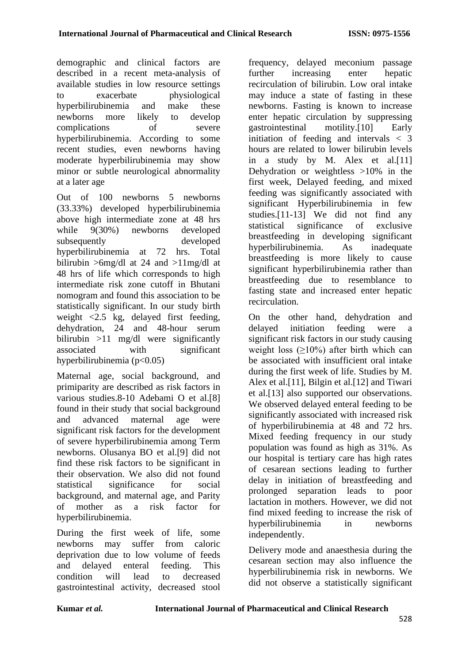demographic and clinical factors are described in a recent meta-analysis of available studies in low resource settings to exacerbate physiological hyperbilirubinemia and make these newborns more likely to develop complications of severe hyperbilirubinemia. According to some recent studies, even newborns having moderate hyperbilirubinemia may show minor or subtle neurological abnormality at a later age

Out of 100 newborns 5 newborns (33.33%) developed hyperbilirubinemia above high intermediate zone at 48 hrs while  $9(30\%)$  newborns developed subsequently developed hyperbilirubinemia at 72 hrs. Total bilirubin >6mg/dl at 24 and >11mg/dl at 48 hrs of life which corresponds to high intermediate risk zone cutoff in Bhutani nomogram and found this association to be statistically significant. In our study birth weight <2.5 kg, delayed first feeding, dehydration, 24 and 48-hour serum bilirubin >11 mg/dl were significantly associated with significant hyperbilirubinemia ( $p<0.05$ )

Maternal age, social background, and primiparity are described as risk factors in various studies.8-10 Adebami O et al.[8] found in their study that social background and advanced maternal age were significant risk factors for the development of severe hyperbilirubinemia among Term newborns. Olusanya BO et al.[9] did not find these risk factors to be significant in their observation. We also did not found statistical significance for social background, and maternal age, and Parity of mother as a risk factor for hyperbilirubinemia.

During the first week of life, some newborns may suffer from caloric deprivation due to low volume of feeds and delayed enteral feeding. This condition will lead to decreased gastrointestinal activity, decreased stool frequency, delayed meconium passage further increasing enter hepatic recirculation of bilirubin. Low oral intake may induce a state of fasting in these newborns. Fasting is known to increase enter hepatic circulation by suppressing gastrointestinal motility.[10] Early initiation of feeding and intervals < 3 hours are related to lower bilirubin levels in a study by M. Alex et al.[11] Dehydration or weightless >10% in the first week, Delayed feeding, and mixed feeding was significantly associated with significant Hyperbilirubinemia in few studies.[11-13] We did not find any statistical significance of exclusive breastfeeding in developing significant hyperbilirubinemia. As inadequate breastfeeding is more likely to cause significant hyperbilirubinemia rather than breastfeeding due to resemblance to fasting state and increased enter hepatic recirculation.

On the other hand, dehydration and delayed initiation feeding were a significant risk factors in our study causing weight loss  $(≥10%)$  after birth which can be associated with insufficient oral intake during the first week of life. Studies by M. Alex et al.[11], Bilgin et al.[12] and Tiwari et al.[13] also supported our observations. We observed delayed enteral feeding to be significantly associated with increased risk of hyperbilirubinemia at 48 and 72 hrs. Mixed feeding frequency in our study population was found as high as 31%. As our hospital is tertiary care has high rates of cesarean sections leading to further delay in initiation of breastfeeding and prolonged separation leads to poor lactation in mothers. However, we did not find mixed feeding to increase the risk of hyperbilirubinemia in newborns independently.

Delivery mode and anaesthesia during the cesarean section may also influence the hyperbilirubinemia risk in newborns. We did not observe a statistically significant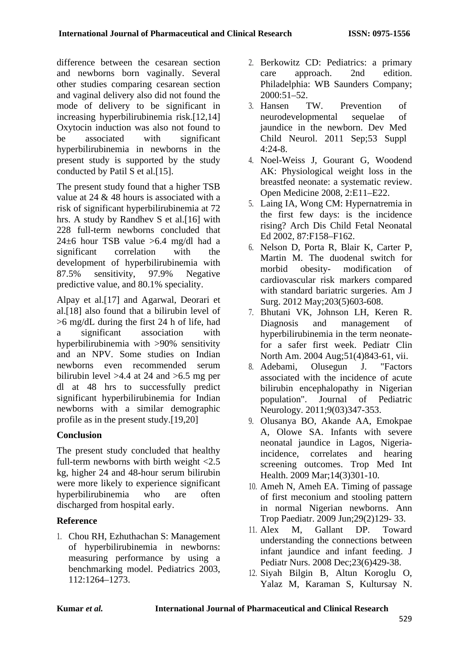difference between the cesarean section and newborns born vaginally. Several other studies comparing cesarean section and vaginal delivery also did not found the mode of delivery to be significant in increasing hyperbilirubinemia risk.[12,14] Oxytocin induction was also not found to be associated with significant hyperbilirubinemia in newborns in the present study is supported by the study conducted by Patil S et al.[15].

The present study found that a higher TSB value at 24 & 48 hours is associated with a risk of significant hyperbilirubinemia at 72 hrs. A study by Randhev S et al.[16] with 228 full-term newborns concluded that  $24\pm6$  hour TSB value >6.4 mg/dl had a significant correlation with the development of hyperbilirubinemia with<br>87.5% sensitivity, 97.9% Negative 87.5% sensitivity, 97.9% Negative predictive value, and 80.1% speciality.

Alpay et al.[17] and Agarwal, Deorari et al.[18] also found that a bilirubin level of >6 mg/dL during the first 24 h of life, had a significant association with hyperbilirubinemia with >90% sensitivity and an NPV. Some studies on Indian newborns even recommended serum bilirubin level >4.4 at 24 and >6.5 mg per dl at 48 hrs to successfully predict significant hyperbilirubinemia for Indian newborns with a similar demographic profile as in the present study.[19,20]

# **Conclusion**

The present study concluded that healthy full-term newborns with birth weight <2.5 kg, higher 24 and 48-hour serum bilirubin were more likely to experience significant hyperbilirubinemia who are often discharged from hospital early.

# **Reference**

1. Chou RH, Ezhuthachan S: Management of hyperbilirubinemia in newborns: measuring performance by using a benchmarking model. Pediatrics 2003, 112:1264–1273.

- 2. Berkowitz CD: Pediatrics: a primary care approach. 2nd edition. Philadelphia: WB Saunders Company;  $2000:51-52.$
- 3. Hansen TW. Prevention of neurodevelopmental sequelae of jaundice in the newborn. Dev Med Child Neurol. 2011 Sep;53 Suppl 4:24-8.
- 4. Noel-Weiss J, Gourant G, Woodend AK: Physiological weight loss in the breastfed neonate: a systematic review. Open Medicine 2008, 2:E11–E22.
- 5. Laing IA, Wong CM: Hypernatremia in the first few days: is the incidence rising? Arch Dis Child Fetal Neonatal Ed 2002, 87:F158–F162.
- 6. Nelson D, Porta R, Blair K, Carter P, Martin M. The duodenal switch for morbid obesity- modification of cardiovascular risk markers compared with standard bariatric surgeries. Am J Surg. 2012 May;203(5)603-608.
- 7. Bhutani VK, Johnson LH, Keren R. Diagnosis and management of hyperbilirubinemia in the term neonatefor a safer first week. Pediatr Clin North Am. 2004 Aug;51(4)843-61, vii.
- 8. Adebami, Olusegun J. "Factors associated with the incidence of acute bilirubin encephalopathy in Nigerian population". Journal of Pediatric Neurology. [2011;9\(03\)347-353.](https://scholar.google.com/scholar_lookup?title=factors%20associated%20with%20the%20incidence%20of%20acute%20bilirubin%20encephalopathy%20in%20nigerian%20population)
- 9. Olusanya BO, Akande AA, Emokpae A, Olowe SA. Infants with severe neonatal jaundice in Lagos, Nigeriaincidence, correlates and hearing screening outcomes. Trop Med Int Health. 2009 Mar;14(3)301-10.
- 10. Ameh N, Ameh EA. Timing of passage of first meconium and stooling pattern in normal Nigerian newborns. Ann Trop Paediatr. 2009 Jun;29(2)129- 33.
- 11. Alex M, Gallant DP. Toward understanding the connections between infant jaundice and infant feeding. J Pediatr Nurs. 2008 Dec;23(6)429-38.
- 12. Siyah Bilgin B, Altun Koroglu O, Yalaz M, Karaman S, Kultursay N.